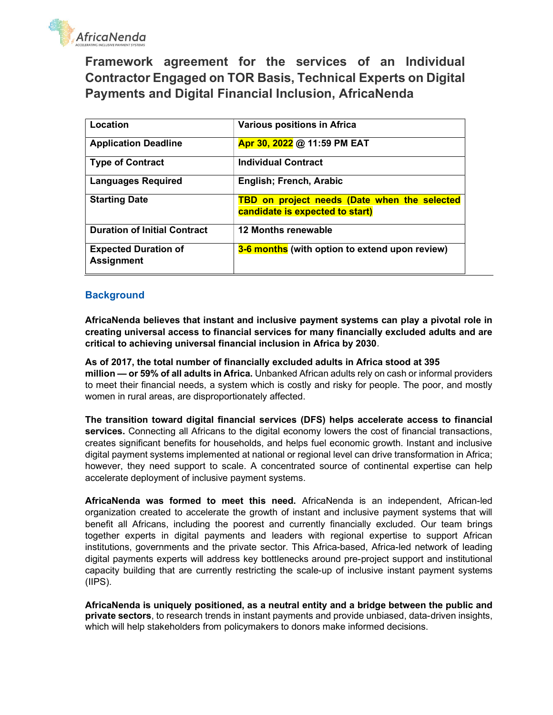

Framework agreement for the services of an Individual Contractor Engaged on TOR Basis, Technical Experts on Digital Payments and Digital Financial Inclusion, AfricaNenda

| Location                                         | <b>Various positions in Africa</b>                                              |
|--------------------------------------------------|---------------------------------------------------------------------------------|
| <b>Application Deadline</b>                      | Apr 30, 2022 @ 11:59 PM EAT                                                     |
| <b>Type of Contract</b>                          | <b>Individual Contract</b>                                                      |
| <b>Languages Required</b>                        | English; French, Arabic                                                         |
| <b>Starting Date</b>                             | TBD on project needs (Date when the selected<br>candidate is expected to start) |
| <b>Duration of Initial Contract</b>              | <b>12 Months renewable</b>                                                      |
| <b>Expected Duration of</b><br><b>Assignment</b> | 3-6 months (with option to extend upon review)                                  |

### **Background**

AfricaNenda believes that instant and inclusive payment systems can play a pivotal role in creating universal access to financial services for many financially excluded adults and are critical to achieving universal financial inclusion in Africa by 2030.

As of 2017, the total number of financially excluded adults in Africa stood at 395 million — or 59% of all adults in Africa. Unbanked African adults rely on cash or informal providers to meet their financial needs, a system which is costly and risky for people. The poor, and mostly women in rural areas, are disproportionately affected.

The transition toward digital financial services (DFS) helps accelerate access to financial services. Connecting all Africans to the digital economy lowers the cost of financial transactions, creates significant benefits for households, and helps fuel economic growth. Instant and inclusive digital payment systems implemented at national or regional level can drive transformation in Africa; however, they need support to scale. A concentrated source of continental expertise can help accelerate deployment of inclusive payment systems.

AfricaNenda was formed to meet this need. AfricaNenda is an independent, African-led organization created to accelerate the growth of instant and inclusive payment systems that will benefit all Africans, including the poorest and currently financially excluded. Our team brings together experts in digital payments and leaders with regional expertise to support African institutions, governments and the private sector. This Africa-based, Africa-led network of leading digital payments experts will address key bottlenecks around pre-project support and institutional capacity building that are currently restricting the scale-up of inclusive instant payment systems (IIPS).

AfricaNenda is uniquely positioned, as a neutral entity and a bridge between the public and private sectors, to research trends in instant payments and provide unbiased, data-driven insights, which will help stakeholders from policymakers to donors make informed decisions.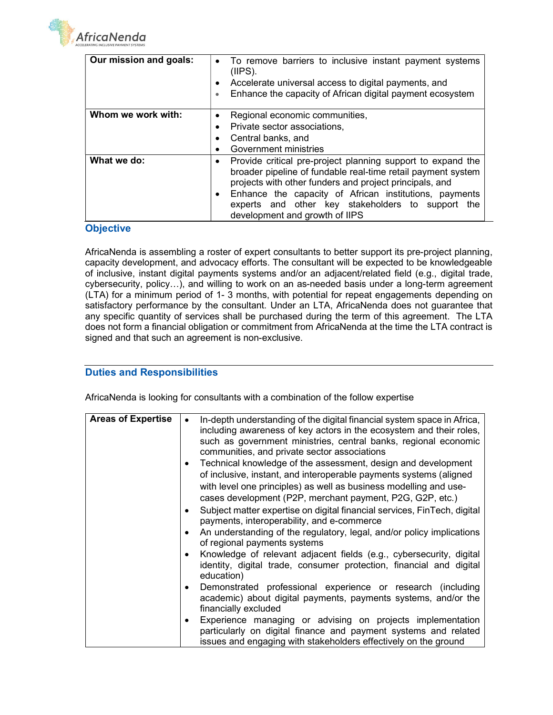

| Our mission and goals: | • To remove barriers to inclusive instant payment systems<br>$(IPS)$ .<br>Accelerate universal access to digital payments, and<br>Enhance the capacity of African digital payment ecosystem                                                                                                                                                                                   |  |  |  |  |
|------------------------|-------------------------------------------------------------------------------------------------------------------------------------------------------------------------------------------------------------------------------------------------------------------------------------------------------------------------------------------------------------------------------|--|--|--|--|
| Whom we work with:     | Regional economic communities,<br>٠<br>Private sector associations,<br>Central banks, and                                                                                                                                                                                                                                                                                     |  |  |  |  |
| What we do:            | Government ministries<br>Provide critical pre-project planning support to expand the<br>$\bullet$<br>broader pipeline of fundable real-time retail payment system<br>projects with other funders and project principals, and<br>Enhance the capacity of African institutions, payments<br>experts and other key stakeholders to support the<br>development and growth of IIPS |  |  |  |  |

### **Objective**

AfricaNenda is assembling a roster of expert consultants to better support its pre-project planning, capacity development, and advocacy efforts. The consultant will be expected to be knowledgeable of inclusive, instant digital payments systems and/or an adjacent/related field (e.g., digital trade, cybersecurity, policy…), and willing to work on an as-needed basis under a long-term agreement (LTA) for a minimum period of 1- 3 months, with potential for repeat engagements depending on satisfactory performance by the consultant. Under an LTA, AfricaNenda does not guarantee that any specific quantity of services shall be purchased during the term of this agreement. The LTA does not form a financial obligation or commitment from AfricaNenda at the time the LTA contract is signed and that such an agreement is non-exclusive.

### Duties and Responsibilities

AfricaNenda is looking for consultants with a combination of the follow expertise

| <b>Areas of Expertise</b> | In-depth understanding of the digital financial system space in Africa,<br>$\bullet$<br>including awareness of key actors in the ecosystem and their roles,<br>such as government ministries, central banks, regional economic<br>communities, and private sector associations<br>Technical knowledge of the assessment, design and development |
|---------------------------|-------------------------------------------------------------------------------------------------------------------------------------------------------------------------------------------------------------------------------------------------------------------------------------------------------------------------------------------------|
|                           | of inclusive, instant, and interoperable payments systems (aligned<br>with level one principles) as well as business modelling and use-<br>cases development (P2P, merchant payment, P2G, G2P, etc.)                                                                                                                                            |
|                           | Subject matter expertise on digital financial services, FinTech, digital<br>payments, interoperability, and e-commerce                                                                                                                                                                                                                          |
|                           | An understanding of the regulatory, legal, and/or policy implications<br>of regional payments systems                                                                                                                                                                                                                                           |
|                           | Knowledge of relevant adjacent fields (e.g., cybersecurity, digital<br>identity, digital trade, consumer protection, financial and digital<br>education)                                                                                                                                                                                        |
|                           | Demonstrated professional experience or research (including<br>academic) about digital payments, payments systems, and/or the<br>financially excluded                                                                                                                                                                                           |
|                           | Experience managing or advising on projects implementation<br>particularly on digital finance and payment systems and related<br>issues and engaging with stakeholders effectively on the ground                                                                                                                                                |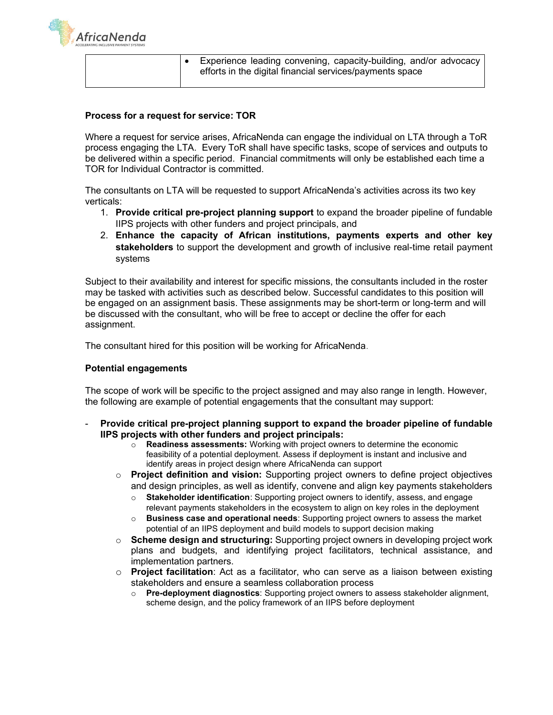

|  | Experience leading convening, capacity-building, and/or advocacy<br>efforts in the digital financial services/payments space |
|--|------------------------------------------------------------------------------------------------------------------------------|
|  |                                                                                                                              |

### Process for a request for service: TOR

Where a request for service arises, AfricaNenda can engage the individual on LTA through a ToR process engaging the LTA. Every ToR shall have specific tasks, scope of services and outputs to be delivered within a specific period. Financial commitments will only be established each time a TOR for Individual Contractor is committed.

The consultants on LTA will be requested to support AfricaNenda's activities across its two key verticals:

- 1. Provide critical pre-project planning support to expand the broader pipeline of fundable IIPS projects with other funders and project principals, and
- 2. Enhance the capacity of African institutions, payments experts and other key stakeholders to support the development and growth of inclusive real-time retail payment systems

Subject to their availability and interest for specific missions, the consultants included in the roster may be tasked with activities such as described below. Successful candidates to this position will be engaged on an assignment basis. These assignments may be short-term or long-term and will be discussed with the consultant, who will be free to accept or decline the offer for each assignment.

The consultant hired for this position will be working for AfricaNenda.

#### Potential engagements

The scope of work will be specific to the project assigned and may also range in length. However, the following are example of potential engagements that the consultant may support:

- Provide critical pre-project planning support to expand the broader pipeline of fundable IIPS projects with other funders and project principals:
	- $\circ$  Readiness assessments: Working with project owners to determine the economic feasibility of a potential deployment. Assess if deployment is instant and inclusive and identify areas in project design where AfricaNenda can support
	- $\circ$  Project definition and vision: Supporting project owners to define project objectives and design principles, as well as identify, convene and align key payments stakeholders
		- o Stakeholder identification: Supporting project owners to identify, assess, and engage relevant payments stakeholders in the ecosystem to align on key roles in the deployment
		- $\circ$  Business case and operational needs: Supporting project owners to assess the market potential of an IIPS deployment and build models to support decision making
	- $\circ$  Scheme design and structuring: Supporting project owners in developing project work plans and budgets, and identifying project facilitators, technical assistance, and implementation partners.
	- $\circ$  Project facilitation: Act as a facilitator, who can serve as a liaison between existing stakeholders and ensure a seamless collaboration process
		- $\circ$  Pre-deployment diagnostics: Supporting project owners to assess stakeholder alignment, scheme design, and the policy framework of an IIPS before deployment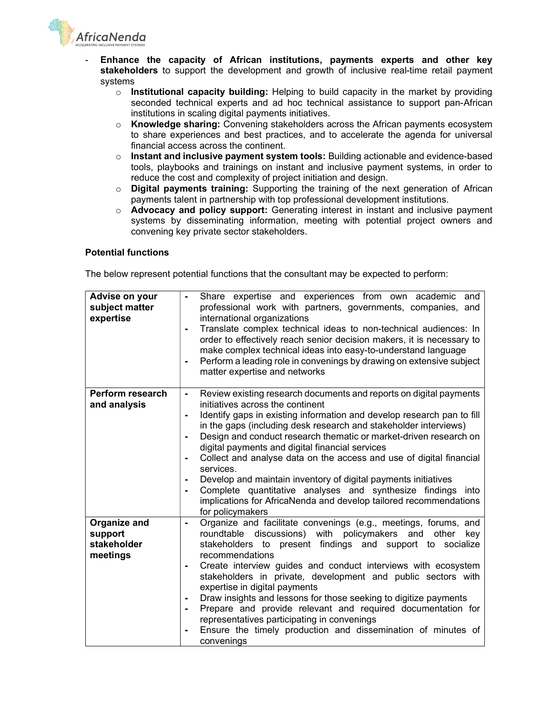**AfricaNenda** 

- Enhance the capacity of African institutions, payments experts and other key stakeholders to support the development and growth of inclusive real-time retail payment systems
	- $\circ$  Institutional capacity building: Helping to build capacity in the market by providing seconded technical experts and ad hoc technical assistance to support pan-African institutions in scaling digital payments initiatives.
	- o Knowledge sharing: Convening stakeholders across the African payments ecosystem to share experiences and best practices, and to accelerate the agenda for universal financial access across the continent.
	- $\circ$  Instant and inclusive payment system tools: Building actionable and evidence-based tools, playbooks and trainings on instant and inclusive payment systems, in order to reduce the cost and complexity of project initiation and design.
	- $\circ$  Digital payments training: Supporting the training of the next generation of African payments talent in partnership with top professional development institutions.
	- $\circ$  **Advocacy and policy support:** Generating interest in instant and inclusive payment systems by disseminating information, meeting with potential project owners and convening key private sector stakeholders.

#### Potential functions

The below represent potential functions that the consultant may be expected to perform:

| Advise on your<br>subject matter<br>expertise      | Share expertise and experiences from own academic and<br>professional work with partners, governments, companies, and<br>international organizations<br>Translate complex technical ideas to non-technical audiences: In<br>$\blacksquare$<br>order to effectively reach senior decision makers, it is necessary to<br>make complex technical ideas into easy-to-understand language<br>Perform a leading role in convenings by drawing on extensive subject<br>matter expertise and networks                                                                                                                                                                                                                                                                      |
|----------------------------------------------------|--------------------------------------------------------------------------------------------------------------------------------------------------------------------------------------------------------------------------------------------------------------------------------------------------------------------------------------------------------------------------------------------------------------------------------------------------------------------------------------------------------------------------------------------------------------------------------------------------------------------------------------------------------------------------------------------------------------------------------------------------------------------|
| Perform research<br>and analysis                   | Review existing research documents and reports on digital payments<br>$\blacksquare$<br>initiatives across the continent<br>Identify gaps in existing information and develop research pan to fill<br>$\blacksquare$<br>in the gaps (including desk research and stakeholder interviews)<br>Design and conduct research thematic or market-driven research on<br>digital payments and digital financial services<br>Collect and analyse data on the access and use of digital financial<br>$\blacksquare$<br>services.<br>Develop and maintain inventory of digital payments initiatives<br>Complete quantitative analyses and synthesize findings into<br>$\blacksquare$<br>implications for AfricaNenda and develop tailored recommendations<br>for policymakers |
| Organize and<br>support<br>stakeholder<br>meetings | Organize and facilitate convenings (e.g., meetings, forums, and<br>$\blacksquare$<br>roundtable discussions) with policymakers and other key<br>stakeholders to present findings and support to socialize<br>recommendations<br>Create interview guides and conduct interviews with ecosystem<br>٠<br>stakeholders in private, development and public sectors with<br>expertise in digital payments<br>Draw insights and lessons for those seeking to digitize payments<br>Prepare and provide relevant and required documentation for<br>representatives participating in convenings<br>Ensure the timely production and dissemination of minutes of<br>convenings                                                                                                |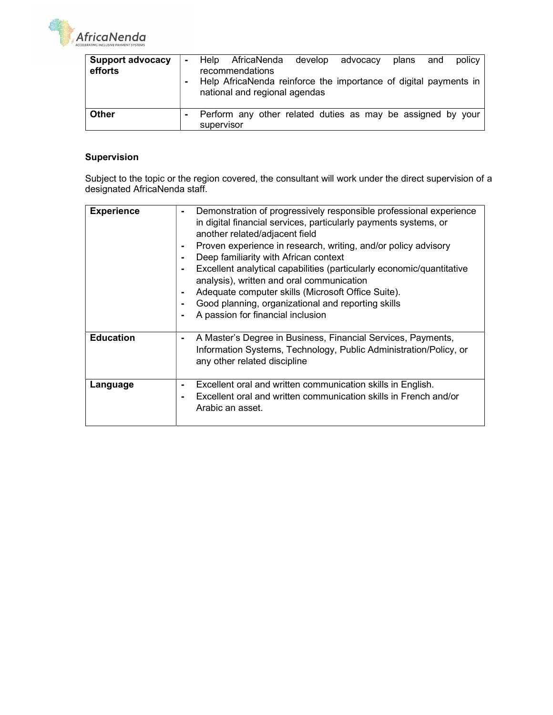AfricaNenda

| <b>Support advocacy</b> |            |                 |                               | Help AfricaNenda develop advocacy | plans and | policy                                                           |
|-------------------------|------------|-----------------|-------------------------------|-----------------------------------|-----------|------------------------------------------------------------------|
| efforts                 |            | recommendations |                               |                                   |           |                                                                  |
|                         |            |                 | national and regional agendas |                                   |           | Help AfricaNenda reinforce the importance of digital payments in |
| <b>Other</b>            | supervisor |                 |                               |                                   |           | Perform any other related duties as may be assigned by your      |

# Supervision

Subject to the topic or the region covered, the consultant will work under the direct supervision of a designated AfricaNenda staff.

| <b>Experience</b> | Demonstration of progressively responsible professional experience<br>۰<br>in digital financial services, particularly payments systems, or<br>another related/adjacent field<br>Proven experience in research, writing, and/or policy advisory<br>۰<br>Deep familiarity with African context<br>Excellent analytical capabilities (particularly economic/quantitative<br>٠<br>analysis), written and oral communication<br>Adequate computer skills (Microsoft Office Suite).<br>٠<br>Good planning, organizational and reporting skills<br>$\blacksquare$<br>A passion for financial inclusion |
|-------------------|--------------------------------------------------------------------------------------------------------------------------------------------------------------------------------------------------------------------------------------------------------------------------------------------------------------------------------------------------------------------------------------------------------------------------------------------------------------------------------------------------------------------------------------------------------------------------------------------------|
| <b>Education</b>  | A Master's Degree in Business, Financial Services, Payments,<br>۰<br>Information Systems, Technology, Public Administration/Policy, or<br>any other related discipline                                                                                                                                                                                                                                                                                                                                                                                                                           |
| Language          | Excellent oral and written communication skills in English.<br>۰<br>Excellent oral and written communication skills in French and/or<br>$\blacksquare$<br>Arabic an asset.                                                                                                                                                                                                                                                                                                                                                                                                                       |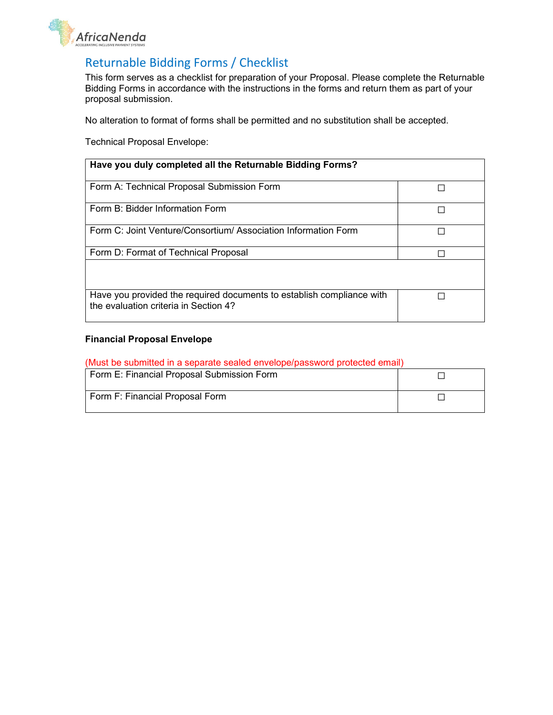

# Returnable Bidding Forms / Checklist

This form serves as a checklist for preparation of your Proposal. Please complete the Returnable Bidding Forms in accordance with the instructions in the forms and return them as part of your proposal submission.

No alteration to format of forms shall be permitted and no substitution shall be accepted.

Technical Proposal Envelope:

| Have you duly completed all the Returnable Bidding Forms?                                                      |  |
|----------------------------------------------------------------------------------------------------------------|--|
| Form A: Technical Proposal Submission Form                                                                     |  |
| Form B: Bidder Information Form                                                                                |  |
| Form C: Joint Venture/Consortium/ Association Information Form                                                 |  |
| Form D: Format of Technical Proposal                                                                           |  |
| Have you provided the required documents to establish compliance with<br>the evaluation criteria in Section 4? |  |

### Financial Proposal Envelope

### (Must be submitted in a separate sealed envelope/password protected email)

| Form E: Financial Proposal Submission Form |  |
|--------------------------------------------|--|
| Form F: Financial Proposal Form            |  |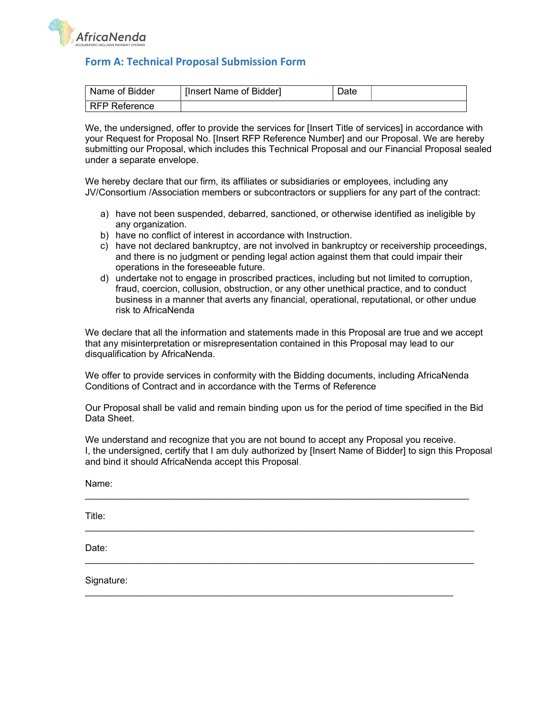

# Form A: Technical Proposal Submission Form

| <sup>'</sup> Name of Bidder | [Insert Name of Bidder] | Date |  |
|-----------------------------|-------------------------|------|--|
| l RFP Reference             |                         |      |  |

We, the undersigned, offer to provide the services for [Insert Title of services] in accordance with your Request for Proposal No. [Insert RFP Reference Number] and our Proposal. We are hereby submitting our Proposal, which includes this Technical Proposal and our Financial Proposal sealed under a separate envelope.

We hereby declare that our firm, its affiliates or subsidiaries or employees, including any JV/Consortium /Association members or subcontractors or suppliers for any part of the contract:

- a) have not been suspended, debarred, sanctioned, or otherwise identified as ineligible by any organization.
- b) have no conflict of interest in accordance with Instruction.
- c) have not declared bankruptcy, are not involved in bankruptcy or receivership proceedings, and there is no judgment or pending legal action against them that could impair their operations in the foreseeable future.
- d) undertake not to engage in proscribed practices, including but not limited to corruption, fraud, coercion, collusion, obstruction, or any other unethical practice, and to conduct business in a manner that averts any financial, operational, reputational, or other undue risk to AfricaNenda

We declare that all the information and statements made in this Proposal are true and we accept that any misinterpretation or misrepresentation contained in this Proposal may lead to our disqualification by AfricaNenda.

We offer to provide services in conformity with the Bidding documents, including AfricaNenda Conditions of Contract and in accordance with the Terms of Reference

Our Proposal shall be valid and remain binding upon us for the period of time specified in the Bid Data Sheet.

We understand and recognize that you are not bound to accept any Proposal you receive. I, the undersigned, certify that I am duly authorized by [Insert Name of Bidder] to sign this Proposal and bind it should AfricaNenda accept this Proposal.

\_\_\_\_\_\_\_\_\_\_\_\_\_\_\_\_\_\_\_\_\_\_\_\_\_\_\_\_\_\_\_\_\_\_\_\_\_\_\_\_\_\_\_\_\_\_\_\_\_\_\_\_\_\_\_\_\_\_\_\_\_\_\_\_\_\_\_\_\_\_\_\_\_\_

\_\_\_\_\_\_\_\_\_\_\_\_\_\_\_\_\_\_\_\_\_\_\_\_\_\_\_\_\_\_\_\_\_\_\_\_\_\_\_\_\_\_\_\_\_\_\_\_\_\_\_\_\_\_\_\_\_\_\_\_\_\_\_\_\_\_\_\_\_\_\_\_\_\_\_

 $\overline{\phantom{a}}$  , and the contribution of the contribution of the contribution of the contribution of the contribution of the contribution of the contribution of the contribution of the contribution of the contribution of the

Name:

Title:

Date:

Signature: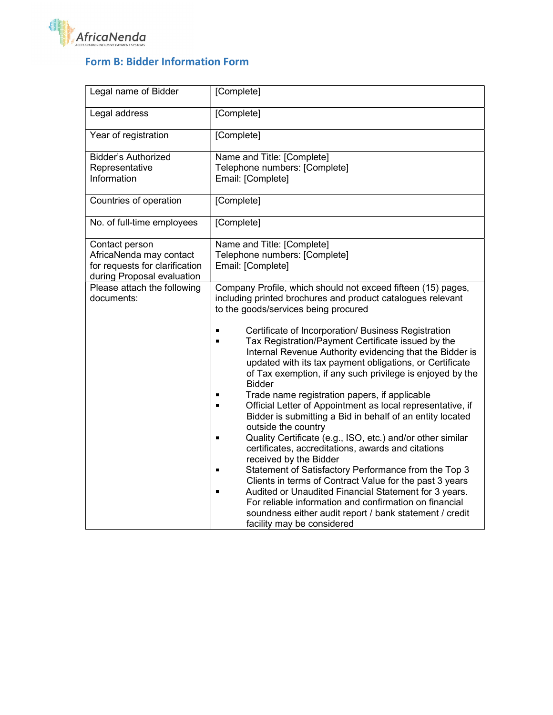

# Form B: Bidder Information Form

| Legal name of Bidder           | [Complete]                                                                                          |
|--------------------------------|-----------------------------------------------------------------------------------------------------|
| Legal address                  | [Complete]                                                                                          |
| Year of registration           | [Complete]                                                                                          |
| <b>Bidder's Authorized</b>     | Name and Title: [Complete]                                                                          |
| Representative                 | Telephone numbers: [Complete]                                                                       |
| Information                    | Email: [Complete]                                                                                   |
| Countries of operation         | [Complete]                                                                                          |
| No. of full-time employees     | [Complete]                                                                                          |
| Contact person                 | Name and Title: [Complete]                                                                          |
| AfricaNenda may contact        | Telephone numbers: [Complete]                                                                       |
| for requests for clarification | Email: [Complete]                                                                                   |
| during Proposal evaluation     |                                                                                                     |
| Please attach the following    | Company Profile, which should not exceed fifteen (15) pages,                                        |
| documents:                     | including printed brochures and product catalogues relevant<br>to the goods/services being procured |
|                                |                                                                                                     |
|                                | Certificate of Incorporation/ Business Registration                                                 |
|                                | Tax Registration/Payment Certificate issued by the                                                  |
|                                | Internal Revenue Authority evidencing that the Bidder is                                            |
|                                | updated with its tax payment obligations, or Certificate                                            |
|                                | of Tax exemption, if any such privilege is enjoyed by the                                           |
|                                | <b>Bidder</b>                                                                                       |
|                                | Trade name registration papers, if applicable                                                       |
|                                | Official Letter of Appointment as local representative, if                                          |
|                                | Bidder is submitting a Bid in behalf of an entity located                                           |
|                                | outside the country<br>Quality Certificate (e.g., ISO, etc.) and/or other similar                   |
|                                | certificates, accreditations, awards and citations                                                  |
|                                | received by the Bidder                                                                              |
|                                | Statement of Satisfactory Performance from the Top 3                                                |
|                                | Clients in terms of Contract Value for the past 3 years                                             |
|                                | Audited or Unaudited Financial Statement for 3 years.                                               |
|                                | For reliable information and confirmation on financial                                              |
|                                | soundness either audit report / bank statement / credit                                             |
|                                | facility may be considered                                                                          |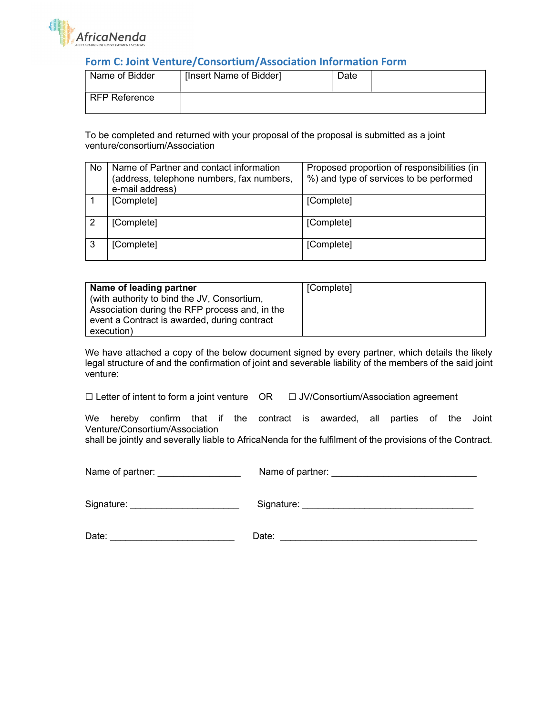

# Form C: Joint Venture/Consortium/Association Information Form

| Name of Bidder | [Insert Name of Bidder] | Date |  |
|----------------|-------------------------|------|--|
| RFP Reference  |                         |      |  |

To be completed and returned with your proposal of the proposal is submitted as a joint venture/consortium/Association

| No | Name of Partner and contact information<br>(address, telephone numbers, fax numbers,<br>e-mail address) | Proposed proportion of responsibilities (in<br>%) and type of services to be performed |
|----|---------------------------------------------------------------------------------------------------------|----------------------------------------------------------------------------------------|
|    | [Complete]                                                                                              | [Complete]                                                                             |
|    | [Complete]                                                                                              | [Complete]                                                                             |
|    | [Complete]                                                                                              | [Complete]                                                                             |

| Name of leading partner                        | [Complete] |
|------------------------------------------------|------------|
| (with authority to bind the JV, Consortium,    |            |
| Association during the RFP process and, in the |            |
| event a Contract is awarded, during contract   |            |
| execution)                                     |            |

We have attached a copy of the below document signed by every partner, which details the likely legal structure of and the confirmation of joint and severable liability of the members of the said joint venture:

We hereby confirm that if the contract is awarded, all parties of the Joint Venture/Consortium/Association

shall be jointly and severally liable to AfricaNenda for the fulfilment of the provisions of the Contract.

Name of partner: **We also construct that the Name of partner:** Name of  $\theta$ 

| ame of partner: |  |  |  |
|-----------------|--|--|--|
|                 |  |  |  |

Signature: etc. and the state of Signature:  $\Box$  Signature:  $\Box$ 

Date: \_\_\_\_\_\_\_\_\_\_\_\_\_\_\_\_\_\_\_\_\_\_\_\_ Date: \_\_\_\_\_\_\_\_\_\_\_\_\_\_\_\_\_\_\_\_\_\_\_\_\_\_\_\_\_\_\_\_\_\_\_\_\_\_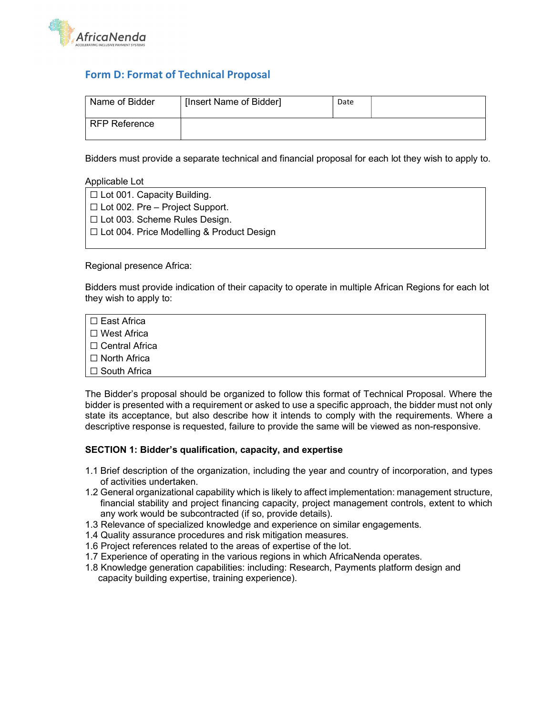

# Form D: Format of Technical Proposal

| Name of Bidder  | [Insert Name of Bidder] | Date |  |
|-----------------|-------------------------|------|--|
| l RFP Reference |                         |      |  |

Bidders must provide a separate technical and financial proposal for each lot they wish to apply to.

#### Applicable Lot

| $\Box$ Lot 001. Capacity Building.               |
|--------------------------------------------------|
| $\Box$ Lot 002. Pre – Project Support.           |
| $\Box$ Lot 003. Scheme Rules Design.             |
| $\Box$ Lot 004. Price Modelling & Product Design |

#### Regional presence Africa:

Bidders must provide indication of their capacity to operate in multiple African Regions for each lot they wish to apply to:

| I ⊟ East Africa.   |  |  |
|--------------------|--|--|
| l ⊟ West Africa    |  |  |
| I ⊟ Central Africa |  |  |
| I ⊟ North Africa   |  |  |
| I ⊟ South Africa   |  |  |

The Bidder's proposal should be organized to follow this format of Technical Proposal. Where the bidder is presented with a requirement or asked to use a specific approach, the bidder must not only state its acceptance, but also describe how it intends to comply with the requirements. Where a descriptive response is requested, failure to provide the same will be viewed as non-responsive.

#### SECTION 1: Bidder's qualification, capacity, and expertise

- 1.1 Brief description of the organization, including the year and country of incorporation, and types of activities undertaken.
- 1.2 General organizational capability which is likely to affect implementation: management structure, financial stability and project financing capacity, project management controls, extent to which any work would be subcontracted (if so, provide details).
- 1.3 Relevance of specialized knowledge and experience on similar engagements.
- 1.4 Quality assurance procedures and risk mitigation measures.
- 1.6 Project references related to the areas of expertise of the lot.
- 1.7 Experience of operating in the various regions in which AfricaNenda operates.
- 1.8 Knowledge generation capabilities: including: Research, Payments platform design and capacity building expertise, training experience).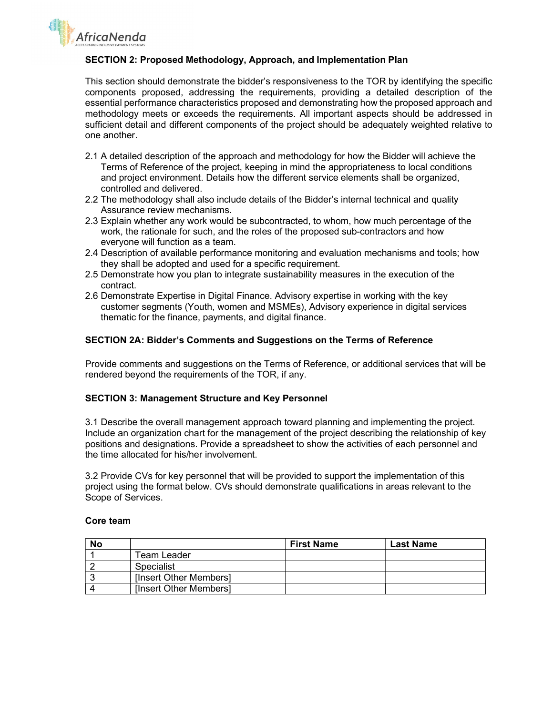**AfricaNenda** 

### SECTION 2: Proposed Methodology, Approach, and Implementation Plan

This section should demonstrate the bidder's responsiveness to the TOR by identifying the specific components proposed, addressing the requirements, providing a detailed description of the essential performance characteristics proposed and demonstrating how the proposed approach and methodology meets or exceeds the requirements. All important aspects should be addressed in sufficient detail and different components of the project should be adequately weighted relative to one another.

- 2.1 A detailed description of the approach and methodology for how the Bidder will achieve the Terms of Reference of the project, keeping in mind the appropriateness to local conditions and project environment. Details how the different service elements shall be organized, controlled and delivered.
- 2.2 The methodology shall also include details of the Bidder's internal technical and quality Assurance review mechanisms.
- 2.3 Explain whether any work would be subcontracted, to whom, how much percentage of the work, the rationale for such, and the roles of the proposed sub-contractors and how everyone will function as a team.
- 2.4 Description of available performance monitoring and evaluation mechanisms and tools; how they shall be adopted and used for a specific requirement.
- 2.5 Demonstrate how you plan to integrate sustainability measures in the execution of the contract.
- 2.6 Demonstrate Expertise in Digital Finance. Advisory expertise in working with the key customer segments (Youth, women and MSMEs), Advisory experience in digital services thematic for the finance, payments, and digital finance.

### SECTION 2A: Bidder's Comments and Suggestions on the Terms of Reference

Provide comments and suggestions on the Terms of Reference, or additional services that will be rendered beyond the requirements of the TOR, if any.

#### SECTION 3: Management Structure and Key Personnel

3.1 Describe the overall management approach toward planning and implementing the project. Include an organization chart for the management of the project describing the relationship of key positions and designations. Provide a spreadsheet to show the activities of each personnel and the time allocated for his/her involvement.

3.2 Provide CVs for key personnel that will be provided to support the implementation of this project using the format below. CVs should demonstrate qualifications in areas relevant to the Scope of Services.

#### Core team

| No |                        | <b>First Name</b> | <b>Last Name</b> |
|----|------------------------|-------------------|------------------|
|    | Геаm Leader            |                   |                  |
|    | Specialist             |                   |                  |
|    | [Insert Other Members] |                   |                  |
|    | [Insert Other Members] |                   |                  |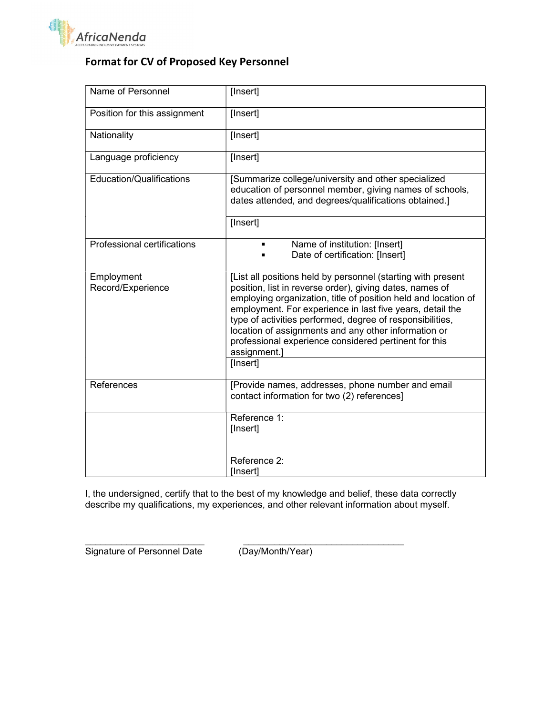

# Format for CV of Proposed Key Personnel

| Name of Personnel               | [Insert]                                                                                                                                                                                                                                                                                                                                                                                                                                              |
|---------------------------------|-------------------------------------------------------------------------------------------------------------------------------------------------------------------------------------------------------------------------------------------------------------------------------------------------------------------------------------------------------------------------------------------------------------------------------------------------------|
| Position for this assignment    | [Insert]                                                                                                                                                                                                                                                                                                                                                                                                                                              |
| Nationality                     | [Insert]                                                                                                                                                                                                                                                                                                                                                                                                                                              |
| Language proficiency            | [Insert]                                                                                                                                                                                                                                                                                                                                                                                                                                              |
| Education/Qualifications        | [Summarize college/university and other specialized<br>education of personnel member, giving names of schools,<br>dates attended, and degrees/qualifications obtained.]                                                                                                                                                                                                                                                                               |
|                                 | [Insert]                                                                                                                                                                                                                                                                                                                                                                                                                                              |
| Professional certifications     | Name of institution: [Insert]<br>$\blacksquare$<br>Date of certification: [Insert]                                                                                                                                                                                                                                                                                                                                                                    |
| Employment<br>Record/Experience | [List all positions held by personnel (starting with present<br>position, list in reverse order), giving dates, names of<br>employing organization, title of position held and location of<br>employment. For experience in last five years, detail the<br>type of activities performed, degree of responsibilities,<br>location of assignments and any other information or<br>professional experience considered pertinent for this<br>assignment.] |
|                                 | [Insert]                                                                                                                                                                                                                                                                                                                                                                                                                                              |
| References                      | [Provide names, addresses, phone number and email<br>contact information for two (2) references]                                                                                                                                                                                                                                                                                                                                                      |
|                                 | Reference 1:<br>[Insert]                                                                                                                                                                                                                                                                                                                                                                                                                              |
|                                 | Reference 2:<br>[Insert]                                                                                                                                                                                                                                                                                                                                                                                                                              |

I, the undersigned, certify that to the best of my knowledge and belief, these data correctly describe my qualifications, my experiences, and other relevant information about myself.

Signature of Personnel Date (Day/Month/Year)

\_\_\_\_\_\_\_\_\_\_\_\_\_\_\_\_\_\_\_\_\_\_\_ \_\_\_\_\_\_\_\_\_\_\_\_\_\_\_\_\_\_\_\_\_\_\_\_\_\_\_\_\_\_\_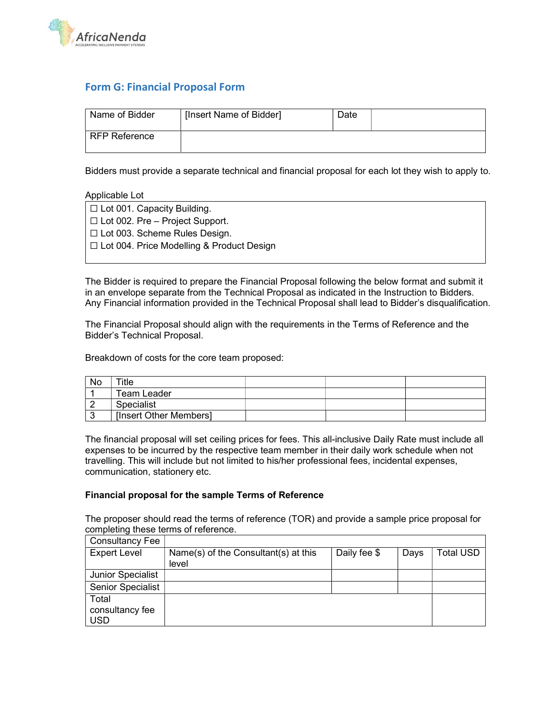

# Form G: Financial Proposal Form

| Name of Bidder | [Insert Name of Bidder] | Date |  |
|----------------|-------------------------|------|--|
| RFP Reference  |                         |      |  |

Bidders must provide a separate technical and financial proposal for each lot they wish to apply to.

Applicable Lot

| $\Box$ Lot 001. Capacity Building.               |
|--------------------------------------------------|
| $\Box$ Lot 002. Pre – Project Support.           |
| $\Box$ Lot 003. Scheme Rules Design.             |
| $\Box$ Lot 004. Price Modelling & Product Design |
|                                                  |

The Bidder is required to prepare the Financial Proposal following the below format and submit it in an envelope separate from the Technical Proposal as indicated in the Instruction to Bidders. Any Financial information provided in the Technical Proposal shall lead to Bidder's disqualification.

The Financial Proposal should align with the requirements in the Terms of Reference and the Bidder's Technical Proposal.

Breakdown of costs for the core team proposed:

| No | ⊤itle                  |  |  |
|----|------------------------|--|--|
|    | Team Leader            |  |  |
|    | Specialist             |  |  |
|    | [Insert Other Members] |  |  |

The financial proposal will set ceiling prices for fees. This all-inclusive Daily Rate must include all expenses to be incurred by the respective team member in their daily work schedule when not travelling. This will include but not limited to his/her professional fees, incidental expenses, communication, stationery etc.

### Financial proposal for the sample Terms of Reference

The proposer should read the terms of reference (TOR) and provide a sample price proposal for completing these terms of reference.

| <b>Consultancy Fee</b>   |                                      |              |      |           |
|--------------------------|--------------------------------------|--------------|------|-----------|
| <b>Expert Level</b>      | Name(s) of the Consultant(s) at this | Daily fee \$ | Days | ⊺otal USD |
|                          | level                                |              |      |           |
| <b>Junior Specialist</b> |                                      |              |      |           |
| <b>Senior Specialist</b> |                                      |              |      |           |
| Total                    |                                      |              |      |           |
| consultancy fee          |                                      |              |      |           |
| <b>USD</b>               |                                      |              |      |           |